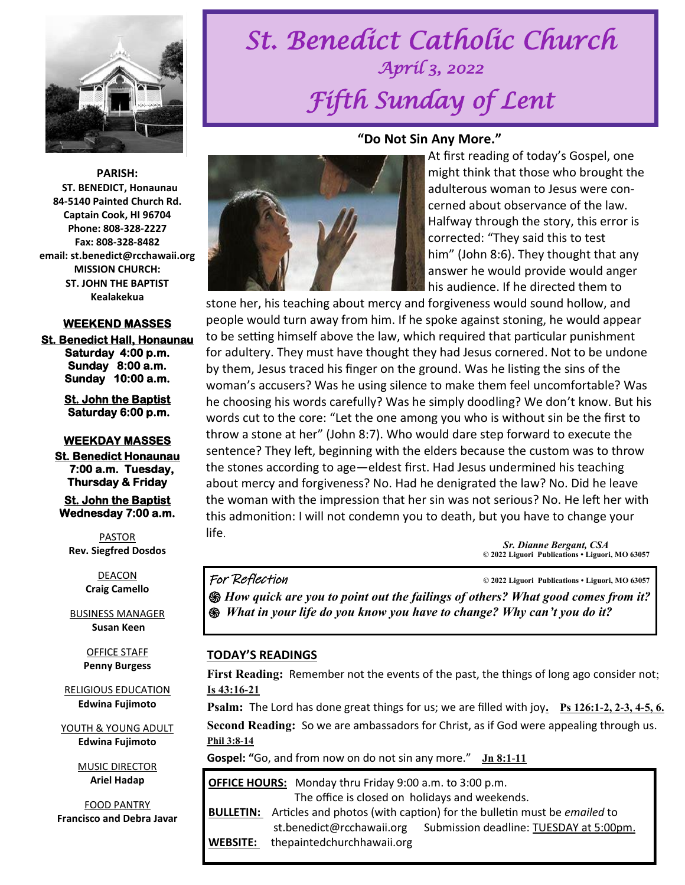

**PARISH: ST. BENEDICT, Honaunau 84-5140 Painted Church Rd. Captain Cook, HI 96704 Phone: 808-328-2227 Fax: 808-328-8482 email: st.benedict@rcchawaii.org MISSION CHURCH: ST. JOHN THE BAPTIST Kealakekua** 

#### **WEEKEND MASSES**

**St. Benedict Hall, Honaunau Saturday 4:00 p.m. Sunday 8:00 a.m. Sunday 10:00 a.m.** 

> **St. John the Baptist Saturday 6:00 p.m.**

#### **WEEKDAY MASSES**

**St. Benedict Honaunau 7:00 a.m. Tuesday, Thursday & Friday** 

**St. John the Baptist Wednesday 7:00 a.m.** 

PASTOR **Rev. Siegfred Dosdos**

> DEACON **Craig Camello**

BUSINESS MANAGER **Susan Keen**

> OFFICE STAFF **Penny Burgess**

RELIGIOUS EDUCATION **Edwina Fujimoto**

YOUTH & YOUNG ADULT **Edwina Fujimoto**

> MUSIC DIRECTOR **Ariel Hadap**

FOOD PANTRY **Francisco and Debra Javar**

# *St. Benedict Catholic Church April 3, 2022 Fifth Sunday of Lent*

#### **"Do Not Sin Any More."**



At first reading of today's Gospel, one might think that those who brought the adulterous woman to Jesus were concerned about observance of the law. Halfway through the story, this error is corrected: "They said this to test him" (John 8:6). They thought that any answer he would provide would anger his audience. If he directed them to

stone her, his teaching about mercy and forgiveness would sound hollow, and people would turn away from him. If he spoke against stoning, he would appear to be setting himself above the law, which required that particular punishment for adultery. They must have thought they had Jesus cornered. Not to be undone by them, Jesus traced his finger on the ground. Was he listing the sins of the woman's accusers? Was he using silence to make them feel uncomfortable? Was he choosing his words carefully? Was he simply doodling? We don't know. But his words cut to the core: "Let the one among you who is without sin be the first to throw a stone at her" (John 8:7). Who would dare step forward to execute the sentence? They left, beginning with the elders because the custom was to throw the stones according to age—eldest first. Had Jesus undermined his teaching about mercy and forgiveness? No. Had he denigrated the law? No. Did he leave the woman with the impression that her sin was not serious? No. He left her with this admonition: I will not condemn you to death, but you have to change your life.

> *Sr. Dianne Bergant, CSA*   **© 2022 Liguori Publications • Liguori, MO 63057**

#### For Reflection **© 2022 Liguori Publications • Liguori, MO 63057**

*֍ How quick are you to point out the failings of others? What good comes from it? ֍ What in your life do you know you have to change? Why can't you do it?* 

#### **TODAY'S READINGS**

**First Reading:** Remember not the events of the past, the things of long ago consider not; **[Is 43:16-21](https://bible.usccb.org/bible/isaiah/43?16)**

**Psalm:** The Lord has done great things for us; we are filled with joy**. [Ps 126:1-2, 2-3, 4-5, 6.](https://bible.usccb.org/bible/psalms/126?1)** 

**Second Reading:** So we are ambassadors for Christ, as if God were appealing through us. **[Phil 3:8-14](https://bible.usccb.org/bible/philippians/3?8)**

**Gospel: "**Go, and from now on do not sin any more." **[Jn 8:1-11](https://bible.usccb.org/bible/john/8?1)** 

| <b>OFFICE HOURS:</b> Monday thru Friday 9:00 a.m. to 3:00 p.m. |                                                                        |                                                                   |
|----------------------------------------------------------------|------------------------------------------------------------------------|-------------------------------------------------------------------|
| The office is closed on holidays and weekends.                 |                                                                        |                                                                   |
| <b>BULLETIN:</b>                                               | Articles and photos (with caption) for the bulletin must be emailed to |                                                                   |
|                                                                |                                                                        | st.benedict@rcchawaii.org Submission deadline: TUESDAY at 5:00pm. |
| WEBSITE:                                                       | thepaintedchurchhawaii.org                                             |                                                                   |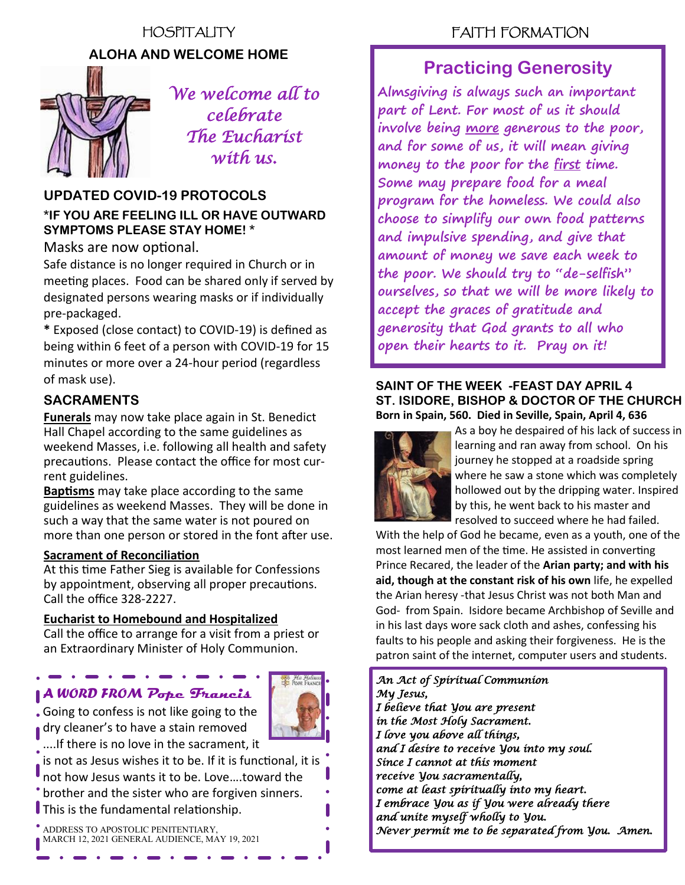## HOSPITALITY **ALOHA AND WELCOME HOME**



*We welcome all to celebrate The Eucharist with us.* 

## **UPDATED COVID-19 PROTOCOLS**

#### **\*IF YOU ARE FEELING ILL OR HAVE OUTWARD SYMPTOMS PLEASE STAY HOME! \***

#### Masks are now optional.

Safe distance is no longer required in Church or in meeting places. Food can be shared only if served by designated persons wearing masks or if individually pre-packaged.

**\*** Exposed (close contact) to COVID-19) is defined as being within 6 feet of a person with COVID-19 for 15 minutes or more over a 24-hour period (regardless of mask use).

### **SACRAMENTS**

**Funerals** may now take place again in St. Benedict Hall Chapel according to the same guidelines as weekend Masses, i.e. following all health and safety precautions. Please contact the office for most current guidelines.

**Baptisms** may take place according to the same guidelines as weekend Masses. They will be done in such a way that the same water is not poured on more than one person or stored in the font after use.

#### **Sacrament of Reconciliation**

At this time Father Sieg is available for Confessions by appointment, observing all proper precautions. Call the office 328-2227.

#### **Eucharist to Homebound and Hospitalized**

Call the office to arrange for a visit from a priest or an Extraordinary Minister of Holy Communion.

### *A WORD FROM* **Pope Francis**



Going to confess is not like going to the dry cleaner's to have a stain removed

....If there is no love in the sacrament, it

is not as Jesus wishes it to be. If it is functional, it is

not how Jesus wants it to be. Love….toward the

brother and the sister who are forgiven sinners.

This is the fundamental relationship.

ADDRESS TO APOSTOLIC PENITENTIARY, MARCH 12, 2021 GENERAL AUDIENCE, MAY 19, 2021

### FAITH FORMATION

### **Practicing Generosity**

**Almsgiving is always such an important part of Lent. For most of us it should involve being more generous to the poor, and for some of us, it will mean giving money to the poor for the first time. Some may prepare food for a meal program for the homeless. We could also choose to simplify our own food patterns and impulsive spending, and give that amount of money we save each week to the poor. We should try to "de-selfish" ourselves, so that we will be more likely to accept the graces of gratitude and generosity that God grants to all who open their hearts to it. Pray on it!**

#### **SAINT OF THE WEEK -FEAST DAY APRIL 4 ST. ISIDORE, BISHOP & DOCTOR OF THE CHURCH Born in Spain, 560. Died in Seville, Spain, April 4, 636**



As a boy he despaired of his lack of success in learning and ran away from school. On his journey he stopped at a roadside spring where he saw a stone which was completely hollowed out by the dripping water. Inspired by this, he went back to his master and resolved to succeed where he had failed.

With the help of God he became, even as a youth, one of the most learned men of the time. He assisted in converting Prince Recared, the leader of the **Arian party; and with his aid, though at the constant risk of his own** life, he expelled the Arian heresy -that Jesus Christ was not both Man and God- from Spain. Isidore became Archbishop of Seville and in his last days wore sack cloth and ashes, confessing his faults to his people and asking their forgiveness. He is the patron saint of the internet, computer users and students.

*An Act of Spiritual Communion My Jesus, I believe that You are present in the Most Holy Sacrament. I love you above all things, and I desire to receive You into my soul. Since I cannot at this moment receive You sacramentally, come at least spiritually into my heart. I embrace You as if You were already there and unite myself wholly to You. Never permit me to be separated from You. Amen.*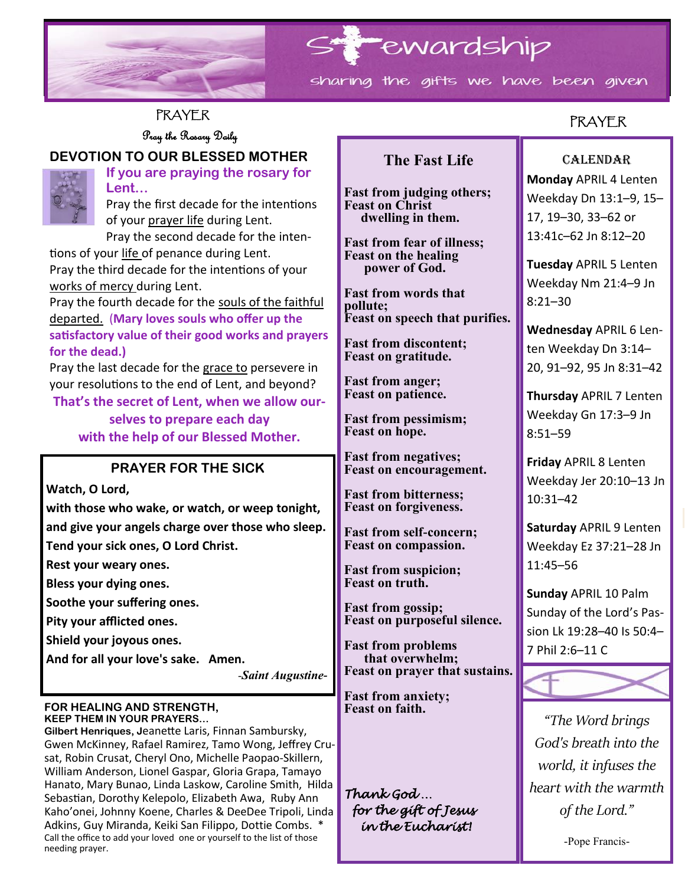

### **PRAYER**

**DEVOTION TO OUR BLESSED MOTHER**

Pray the Rosary Daily



**If you are praying the rosary for Lent…**

Pray the first decade for the intentions of your prayer life during Lent.

Pray the second decade for the intentions of your life of penance during Lent. Pray the third decade for the intentions of your works of mercy during Lent.

Pray the fourth decade for the souls of the faithful departed. (**Mary loves souls who offer up the satisfactory value of their good works and prayers for the dead.)** 

Pray the last decade for the grace to persevere in your resolutions to the end of Lent, and beyond? **That's the secret of Lent, when we allow our-**

> **selves to prepare each day with the help of our Blessed Mother.**

### **PRAYER FOR THE SICK**

**Watch, O Lord,** 

**with those who wake, or watch, or weep tonight, and give your angels charge over those who sleep.** 

**Tend your sick ones, O Lord Christ.**

**Rest your weary ones.** 

**Bless your dying ones.**

**Soothe your suffering ones.** 

**Pity your afflicted ones.**

**Shield your joyous ones.** 

**And for all your love's sake. Amen.**

-*Saint Augustine-*

#### **FOR HEALING AND STRENGTH, KEEP THEM IN YOUR PRAYERS…**

**Gilbert Henriques, J**eanette Laris, Finnan Sambursky, Gwen McKinney, Rafael Ramirez, Tamo Wong, Jeffrey Crusat, Robin Crusat, Cheryl Ono, Michelle Paopao-Skillern, William Anderson, Lionel Gaspar, Gloria Grapa, Tamayo Hanato, Mary Bunao, Linda Laskow, Caroline Smith, Hilda Sebastian, Dorothy Kelepolo, Elizabeth Awa, Ruby Ann Kaho'onei, Johnny Koene, Charles & DeeDee Tripoli, Linda Adkins, Guy Miranda, Keiki San Filippo, Dottie Combs. \* Call the office to add your loved one or yourself to the list of those needing prayer.

### **The Fast Life**

**Fast from judging others; Feast on Christ dwelling in them.**

**Fast from fear of illness; Feast on the healing power of God.**

**Fast from words that pollute; Feast on speech that purifies.**

**Fast from discontent; Feast on gratitude.**

**Fast from anger; Feast on patience.**

**Fast from pessimism; Feast on hope.**

**Fast from negatives; Feast on encouragement.**

**Fast from bitterness; Feast on forgiveness.**

**Fast from self-concern; Feast on compassion.**

**Fast from suspicion; Feast on truth.**

**Fast from gossip; Feast on purposeful silence.**

**Fast from problems that overwhelm; Feast on prayer that sustains.**

**Fast from anxiety; Feast on faith.**

*Thank God … for the gift of Jesus in the Eucharist!* 

### PRAYER

#### CALENDAR

**Monday** APRIL 4 Lenten Weekday Dn 13:1–9, 15– 17, 19–30, 33–62 or 13:41c–62 Jn 8:12–20

**Tuesday** APRIL 5 Lenten Weekday Nm 21:4–9 Jn 8:21–30

**Wednesday** APRIL 6 Lenten Weekday Dn 3:14– 20, 91–92, 95 Jn 8:31–42

**Thursday** APRIL 7 Lenten Weekday Gn 17:3–9 Jn 8:51–59

**Friday** APRIL 8 Lenten Weekday Jer 20:10–13 Jn 10:31–42

**Saturday** APRIL 9 Lenten Weekday Ez 37:21–28 Jn 11:45–56

**Sunday** APRIL 10 Palm Sunday of the Lord's Passion Lk 19:28–40 Is 50:4– 7 Phil 2:6–11 C



*"The Word brings God's breath into the world, it infuses the heart with the warmth of the Lord."*

-Pope Francis-